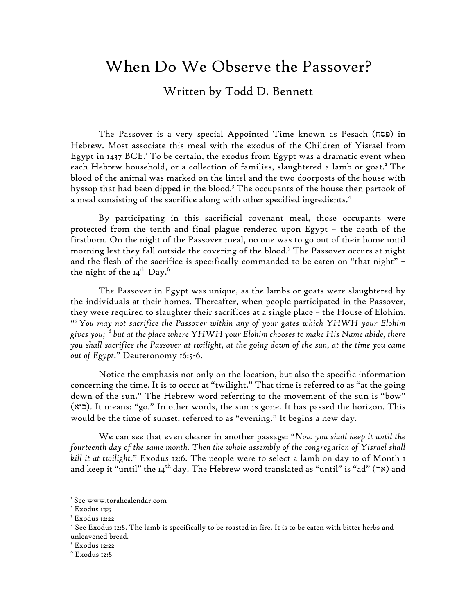## When Do We Observe the Passover?

## Written by Todd D. Bennett

The Passover is a very special Appointed Time known as Pesach (פסה) in Hebrew. Most associate this meal with the exodus of the Children of Yisrael from Egypt in 1437 BCE.<sup>1</sup> To be certain, the exodus from Egypt was a dramatic event when each Hebrew household, or a collection of families, slaughtered a lamb or goat.<sup>2</sup> The blood of the animal was marked on the lintel and the two doorposts of the house with hyssop that had been dipped in the blood.3 The occupants of the house then partook of a meal consisting of the sacrifice along with other specified ingredients. 4

By participating in this sacrificial covenant meal, those occupants were protected from the tenth and final plague rendered upon Egypt – the death of the firstborn. On the night of the Passover meal, no one was to go out of their home until morning lest they fall outside the covering of the blood.<sup>5</sup> The Passover occurs at night and the flesh of the sacrifice is specifically commanded to be eaten on "that night" – the night of the  $\rm I4^{th}$  Day. $^6$ 

The Passover in Egypt was unique, as the lambs or goats were slaughtered by the individuals at their homes. Thereafter, when people participated in the Passover, they were required to slaughter their sacrifices at a single place – the House of Elohim. "*5 You may not sacrifice the Passover within any of your gates which YHWH your Elohim gives you; <sup>6</sup> but at the place where YHWH your Elohim chooses to make His Name abide, there you shall sacrifice the Passover at twilight, at the going down of the sun, at the time you came out of Egypt*." Deuteronomy 16:5-6.

Notice the emphasis not only on the location, but also the specific information concerning the time. It is to occur at "twilight." That time is referred to as "at the going down of the sun." The Hebrew word referring to the movement of the sun is "bow" (בוא). It means: "go." In other words, the sun is gone. It has passed the horizon. This would be the time of sunset, referred to as "evening." It begins a new day.

We can see that even clearer in another passage: "*Now you shall keep it until the fourteenth day of the same month. Then the whole assembly of the congregation of Yisrael shall kill it at twilight*." Exodus 12:6. The people were to select a lamb on day 10 of Month 1 and keep it "until" the 14<sup>th</sup> day. The Hebrew word translated as "until" is "ad" (אד) and

<sup>&</sup>lt;sup>1</sup> See www.torahcalendar.com

<sup>&</sup>lt;sup>2</sup> Exodus 12:5

<sup>3</sup> Exodus 12:22

<sup>4</sup> See Exodus 12:8. The lamb is specifically to be roasted in fire. It is to be eaten with bitter herbs and unleavened bread.

<sup>5</sup> Exodus 12:22

<sup>6</sup> Exodus 12:8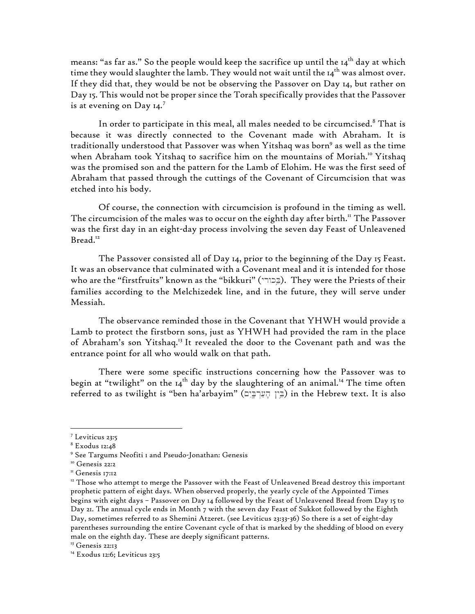means: "as far as." So the people would keep the sacrifice up until the  $14<sup>th</sup>$  day at which time they would slaughter the lamb. They would not wait until the  $I_4$ <sup>th</sup> was almost over. If they did that, they would be not be observing the Passover on Day 14, but rather on Day 15. This would not be proper since the Torah specifically provides that the Passover is at evening on Day  $14.^7$ 

In order to participate in this meal, all males needed to be circumcised.<sup>8</sup> That is because it was directly connected to the Covenant made with Abraham. It is traditionally understood that Passover was when Yitshaq was born<sup>9</sup> as well as the time when Abraham took Yitshaq to sacrifice him on the mountains of Moriah.<sup>10</sup> Yitshaq was the promised son and the pattern for the Lamb of Elohim. He was the first seed of Abraham that passed through the cuttings of the Covenant of Circumcision that was etched into his body.

Of course, the connection with circumcision is profound in the timing as well. The circumcision of the males was to occur on the eighth day after birth." The Passover was the first day in an eight-day process involving the seven day Feast of Unleavened Bread.<sup>12</sup>

The Passover consisted all of Day 14, prior to the beginning of the Day 15 Feast. It was an observance that culminated with a Covenant meal and it is intended for those who are the "firstfruits" known as the "bikkuri" (בֵּכוֹרִי). They were the Priests of their families according to the Melchizedek line, and in the future, they will serve under Messiah.

The observance reminded those in the Covenant that YHWH would provide a Lamb to protect the firstborn sons, just as YHWH had provided the ram in the place of Abraham's son Yitshaq.<sup>13</sup> It revealed the door to the Covenant path and was the entrance point for all who would walk on that path.

There were some specific instructions concerning how the Passover was to begin at "twilight" on the 14<sup>th</sup> day by the slaughtering of an animal.<sup>14</sup> The time often referred to as twilight is "ben ha'arbayim" (בֵּין הָעָרְבֵּיָם) in the Hebrew text. It is also

<sup>7</sup> Leviticus 23:5

<sup>8</sup> Exodus 12:48

<sup>9</sup> See Targums Neofiti 1 and Pseudo-Jonathan: Genesis

<sup>&</sup>lt;sup>10</sup> Genesis 22:2

<sup>&</sup>lt;sup>11</sup> Genesis 17:12

<sup>&</sup>lt;sup>12</sup> Those who attempt to merge the Passover with the Feast of Unleavened Bread destroy this important prophetic pattern of eight days. When observed properly, the yearly cycle of the Appointed Times begins with eight days – Passover on Day 14 followed by the Feast of Unleavened Bread from Day 15 to Day 21. The annual cycle ends in Month 7 with the seven day Feast of Sukkot followed by the Eighth Day, sometimes referred to as Shemini Atzeret. (see Leviticus 23:33-36) So there is a set of eight-day parentheses surrounding the entire Covenant cycle of that is marked by the shedding of blood on every male on the eighth day. These are deeply significant patterns.

<sup>&</sup>lt;sup>13</sup> Genesis 22:13

<sup>&</sup>lt;sup>14</sup> Exodus 12:6; Leviticus 23:5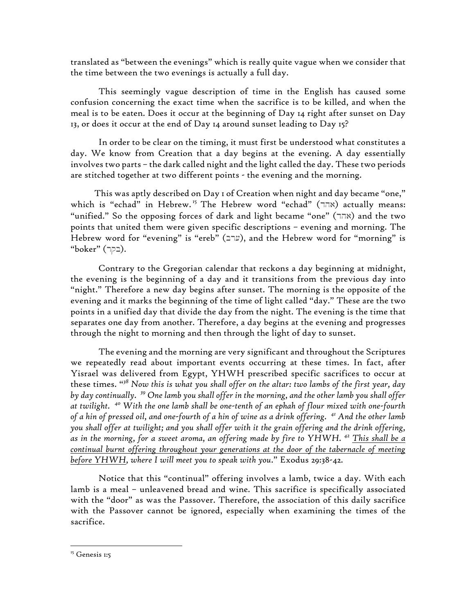translated as "between the evenings" which is really quite vague when we consider that the time between the two evenings is actually a full day.

This seemingly vague description of time in the English has caused some confusion concerning the exact time when the sacrifice is to be killed, and when the meal is to be eaten. Does it occur at the beginning of Day 14 right after sunset on Day 13, or does it occur at the end of Day 14 around sunset leading to Day 15?

In order to be clear on the timing, it must first be understood what constitutes a day. We know from Creation that a day begins at the evening. A day essentially involves two parts – the dark called night and the light called the day. These two periods are stitched together at two different points - the evening and the morning.

This was aptly described on Day 1 of Creation when night and day became "one," which is "echad" in Hebrew.<sup>15</sup> The Hebrew word "echad" (אהר $\epsilon$ ) actually means: "unified." So the opposing forces of dark and light became "one" (אהר $($ האה) and the two points that united them were given specific descriptions – evening and morning. The Hebrew word for "evening" is "ereb" (ערב), and the Hebrew word for "morning" is "boker" ( $\neg$  $\neg$ ).

Contrary to the Gregorian calendar that reckons a day beginning at midnight, the evening is the beginning of a day and it transitions from the previous day into "night." Therefore a new day begins after sunset. The morning is the opposite of the evening and it marks the beginning of the time of light called "day." These are the two points in a unified day that divide the day from the night. The evening is the time that separates one day from another. Therefore, a day begins at the evening and progresses through the night to morning and then through the light of day to sunset.

The evening and the morning are very significant and throughout the Scriptures we repeatedly read about important events occurring at these times. In fact, after Yisrael was delivered from Egypt, YHWH prescribed specific sacrifices to occur at these times. "*<sup>38</sup> Now this is what you shall offer on the altar: two lambs of the first year, day by day continually. <sup>39</sup> One lamb you shall offer in the morning, and the other lamb you shall offer at twilight. <sup>40</sup> With the one lamb shall be one-tenth of an ephah of flour mixed with one-fourth of a hin of pressed oil, and one-fourth of a hin of wine as a drink offering. <sup>41</sup> And the other lamb you shall offer at twilight; and you shall offer with it the grain offering and the drink offering, as in the morning, for a sweet aroma, an offering made by fire to YHWH. <sup>42</sup> This shall be a continual burnt offering throughout your generations at the door of the tabernacle of meeting before YHWH, where I will meet you to speak with you*." Exodus 29:38-42.

Notice that this "continual" offering involves a lamb, twice a day. With each lamb is a meal – unleavened bread and wine. This sacrifice is specifically associated with the "door" as was the Passover. Therefore, the association of this daily sacrifice with the Passover cannot be ignored, especially when examining the times of the sacrifice.

<sup>&</sup>lt;sup>15</sup> Genesis 1:5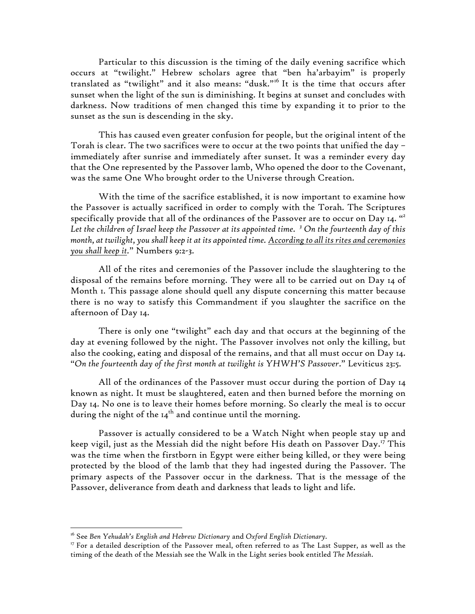Particular to this discussion is the timing of the daily evening sacrifice which occurs at "twilight." Hebrew scholars agree that "ben ha'arbayim" is properly translated as "twilight" and it also means: "dusk."<sup>16</sup> It is the time that occurs after sunset when the light of the sun is diminishing. It begins at sunset and concludes with darkness. Now traditions of men changed this time by expanding it to prior to the sunset as the sun is descending in the sky.

This has caused even greater confusion for people, but the original intent of the Torah is clear. The two sacrifices were to occur at the two points that unified the day – immediately after sunrise and immediately after sunset. It was a reminder every day that the One represented by the Passover lamb, Who opened the door to the Covenant, was the same One Who brought order to the Universe through Creation.

With the time of the sacrifice established, it is now important to examine how the Passover is actually sacrificed in order to comply with the Torah. The Scriptures specifically provide that all of the ordinances of the Passover are to occur on Day 14. "*<sup>2</sup> Let the children of Israel keep the Passover at its appointed time. <sup>3</sup> On the fourteenth day of this month, at twilight, you shall keep it at its appointed time. According to all its rites and ceremonies you shall keep it.*" Numbers 9:2-3.

All of the rites and ceremonies of the Passover include the slaughtering to the disposal of the remains before morning. They were all to be carried out on Day 14 of Month 1. This passage alone should quell any dispute concerning this matter because there is no way to satisfy this Commandment if you slaughter the sacrifice on the afternoon of Day 14.

There is only one "twilight" each day and that occurs at the beginning of the day at evening followed by the night. The Passover involves not only the killing, but also the cooking, eating and disposal of the remains, and that all must occur on Day 14. "*On the fourteenth day of the first month at twilight is YHWH'S Passover*." Leviticus 23:5.

All of the ordinances of the Passover must occur during the portion of Day 14 known as night. It must be slaughtered, eaten and then burned before the morning on Day 14. No one is to leave their homes before morning. So clearly the meal is to occur during the night of the  $14<sup>th</sup>$  and continue until the morning.

Passover is actually considered to be a Watch Night when people stay up and keep vigil, just as the Messiah did the night before His death on Passover Day.<sup>17</sup> This was the time when the firstborn in Egypt were either being killed, or they were being protected by the blood of the lamb that they had ingested during the Passover. The primary aspects of the Passover occur in the darkness. That is the message of the Passover, deliverance from death and darkness that leads to light and life.

<sup>16</sup> See *Ben Yehudah's English and Hebrew Dictionary* and *Oxford English Dictionary.*

<sup>&</sup>lt;sup>17</sup> For a detailed description of the Passover meal, often referred to as The Last Supper, as well as the timing of the death of the Messiah see the Walk in the Light series book entitled *The Messiah*.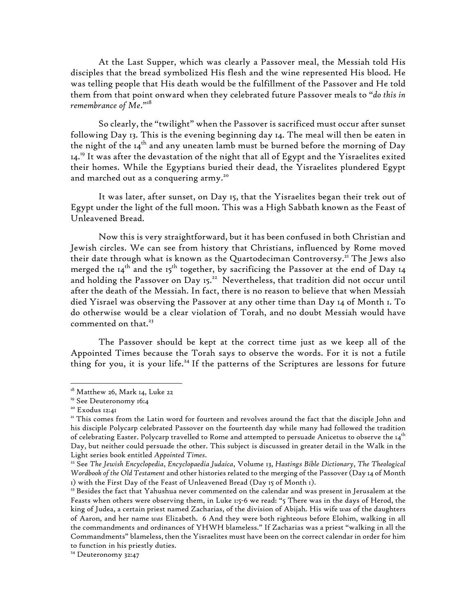At the Last Supper, which was clearly a Passover meal, the Messiah told His disciples that the bread symbolized His flesh and the wine represented His blood. He was telling people that His death would be the fulfillment of the Passover and He told them from that point onward when they celebrated future Passover meals to "*do this in remembrance of Me*."18

So clearly, the "twilight" when the Passover is sacrificed must occur after sunset following Day 13. This is the evening beginning day 14. The meal will then be eaten in the night of the  $I_4$ <sup>th</sup> and any uneaten lamb must be burned before the morning of Day 14.<sup>19</sup> It was after the devastation of the night that all of Egypt and the Yisraelites exited their homes. While the Egyptians buried their dead, the Yisraelites plundered Egypt and marched out as a conquering army.<sup>20</sup>

It was later, after sunset, on Day 15, that the Yisraelites began their trek out of Egypt under the light of the full moon. This was a High Sabbath known as the Feast of Unleavened Bread.

Now this is very straightforward, but it has been confused in both Christian and Jewish circles. We can see from history that Christians, influenced by Rome moved their date through what is known as the Quartodeciman Controversy.<sup>21</sup> The Jews also merged the  $14<sup>th</sup>$  and the 15<sup>th</sup> together, by sacrificing the Passover at the end of Day 14 and holding the Passover on Day 15.<sup>22</sup> Nevertheless, that tradition did not occur until after the death of the Messiah. In fact, there is no reason to believe that when Messiah died Yisrael was observing the Passover at any other time than Day 14 of Month 1. To do otherwise would be a clear violation of Torah, and no doubt Messiah would have commented on that.<sup>23</sup>

The Passover should be kept at the correct time just as we keep all of the Appointed Times because the Torah says to observe the words. For it is not a futile thing for you, it is your life. <sup>24</sup> If the patterns of the Scriptures are lessons for future

 $18$  Matthew 26, Mark 14, Luke 22

<sup>&</sup>lt;sup>19</sup> See Deuteronomy 16:4

<sup>&</sup>lt;sup>20</sup> Exodus 12:41

<sup>&</sup>lt;sup>21</sup> This comes from the Latin word for fourteen and revolves around the fact that the disciple John and his disciple Polycarp celebrated Passover on the fourteenth day while many had followed the tradition of celebrating Easter. Polycarp travelled to Rome and attempted to persuade Anicetus to observe the 14th Day, but neither could persuade the other. This subject is discussed in greater detail in the Walk in the Light series book entitled *Appointed Times*.

<sup>22</sup> See *The Jewish Encyclopedia*, *Encyclopaedia Judaica*, Volume 13, *Hastings Bible Dictionary*, *The Theological Wordbook of the Old Testament* and other histories related to the merging of the Passover (Day 14 of Month 1) with the First Day of the Feast of Unleavened Bread (Day 15 of Month 1).

<sup>&</sup>lt;sup>23</sup> Besides the fact that Yahushua never commented on the calendar and was present in Jerusalem at the Feasts when others were observing them, in Luke 1:5-6 we read: "5 There was in the days of Herod, the king of Judea, a certain priest named Zacharias, of the division of Abijah. His wife *was* of the daughters of Aaron, and her name *was* Elizabeth. 6 And they were both righteous before Elohim, walking in all the commandments and ordinances of YHWH blameless." If Zacharias was a priest "walking in all the Commandments" blameless, then the Yisraelites must have been on the correct calendar in order for him to function in his priestly duties. 24 Deuteronomy 32:47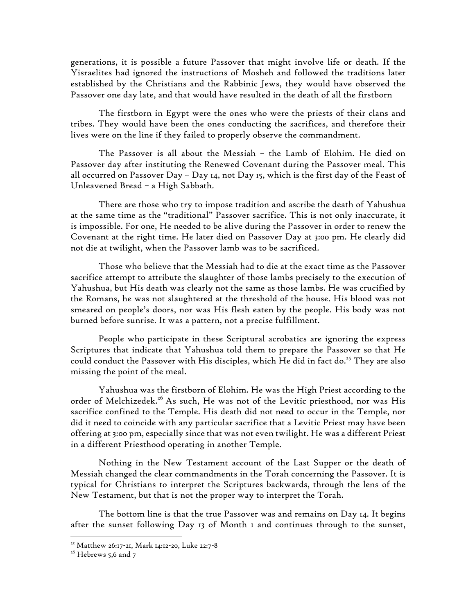generations, it is possible a future Passover that might involve life or death. If the Yisraelites had ignored the instructions of Mosheh and followed the traditions later established by the Christians and the Rabbinic Jews, they would have observed the Passover one day late, and that would have resulted in the death of all the firstborn

The firstborn in Egypt were the ones who were the priests of their clans and tribes. They would have been the ones conducting the sacrifices, and therefore their lives were on the line if they failed to properly observe the commandment.

The Passover is all about the Messiah – the Lamb of Elohim. He died on Passover day after instituting the Renewed Covenant during the Passover meal. This all occurred on Passover Day – Day 14, not Day 15, which is the first day of the Feast of Unleavened Bread – a High Sabbath.

There are those who try to impose tradition and ascribe the death of Yahushua at the same time as the "traditional" Passover sacrifice. This is not only inaccurate, it is impossible. For one, He needed to be alive during the Passover in order to renew the Covenant at the right time. He later died on Passover Day at 3:00 pm. He clearly did not die at twilight, when the Passover lamb was to be sacrificed.

Those who believe that the Messiah had to die at the exact time as the Passover sacrifice attempt to attribute the slaughter of those lambs precisely to the execution of Yahushua, but His death was clearly not the same as those lambs. He was crucified by the Romans, he was not slaughtered at the threshold of the house. His blood was not smeared on people's doors, nor was His flesh eaten by the people. His body was not burned before sunrise. It was a pattern, not a precise fulfillment.

People who participate in these Scriptural acrobatics are ignoring the express Scriptures that indicate that Yahushua told them to prepare the Passover so that He could conduct the Passover with His disciples, which He did in fact do. <sup>25</sup> They are also missing the point of the meal.

Yahushua was the firstborn of Elohim. He was the High Priest according to the order of Melchizedek.<sup>26</sup> As such, He was not of the Levitic priesthood, nor was His sacrifice confined to the Temple. His death did not need to occur in the Temple, nor did it need to coincide with any particular sacrifice that a Levitic Priest may have been offering at 3:00 pm, especially since that was not even twilight. He was a different Priest in a different Priesthood operating in another Temple.

Nothing in the New Testament account of the Last Supper or the death of Messiah changed the clear commandments in the Torah concerning the Passover. It is typical for Christians to interpret the Scriptures backwards, through the lens of the New Testament, but that is not the proper way to interpret the Torah.

The bottom line is that the true Passover was and remains on Day 14. It begins after the sunset following Day 13 of Month 1 and continues through to the sunset,

<sup>25</sup> Matthew 26:17-21, Mark 14:12-20, Luke 22:7-8

 $26$  Hebrews 5,6 and 7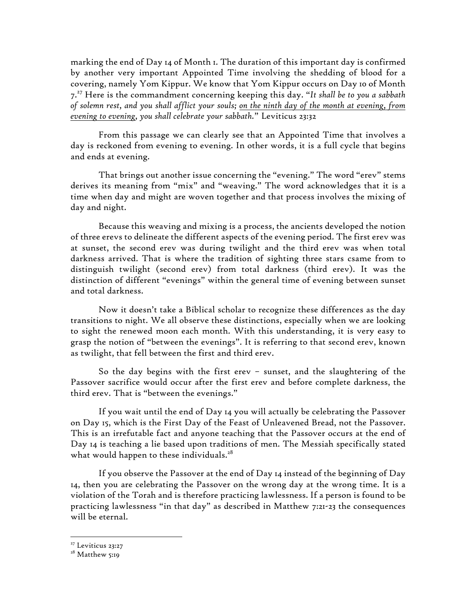marking the end of Day 14 of Month 1. The duration of this important day is confirmed by another very important Appointed Time involving the shedding of blood for a covering, namely Yom Kippur. We know that Yom Kippur occurs on Day 10 of Month 7.<sup>27</sup> Here is the commandment concerning keeping this day. "*It shall be to you a sabbath of solemn rest, and you shall afflict your souls; on the ninth day of the month at evening, from evening to evening, you shall celebrate your sabbath.*" Leviticus 23:32

From this passage we can clearly see that an Appointed Time that involves a day is reckoned from evening to evening. In other words, it is a full cycle that begins and ends at evening.

That brings out another issue concerning the "evening." The word "erev" stems derives its meaning from "mix" and "weaving." The word acknowledges that it is a time when day and might are woven together and that process involves the mixing of day and night.

Because this weaving and mixing is a process, the ancients developed the notion of three erevs to delineate the different aspects of the evening period. The first erev was at sunset, the second erev was during twilight and the third erev was when total darkness arrived. That is where the tradition of sighting three stars csame from to distinguish twilight (second erev) from total darkness (third erev). It was the distinction of different "evenings" within the general time of evening between sunset and total darkness.

Now it doesn't take a Biblical scholar to recognize these differences as the day transitions to night. We all observe these distinctions, especially when we are looking to sight the renewed moon each month. With this understanding, it is very easy to grasp the notion of "between the evenings". It is referring to that second erev, known as twilight, that fell between the first and third erev.

So the day begins with the first erev – sunset, and the slaughtering of the Passover sacrifice would occur after the first erev and before complete darkness, the third erev. That is "between the evenings."

If you wait until the end of Day 14 you will actually be celebrating the Passover on Day 15, which is the First Day of the Feast of Unleavened Bread, not the Passover. This is an irrefutable fact and anyone teaching that the Passover occurs at the end of Day 14 is teaching a lie based upon traditions of men. The Messiah specifically stated what would happen to these individuals.<sup>28</sup>

If you observe the Passover at the end of Day 14 instead of the beginning of Day 14, then you are celebrating the Passover on the wrong day at the wrong time. It is a violation of the Torah and is therefore practicing lawlessness. If a person is found to be practicing lawlessness "in that day" as described in Matthew 7:21-23 the consequences will be eternal.

<sup>&</sup>lt;sup>27</sup> Leviticus 23:27

<sup>&</sup>lt;sup>28</sup> Matthew 5:19